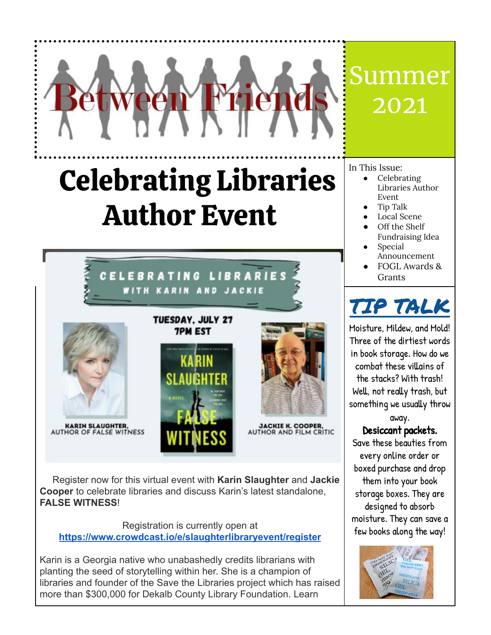## Celebrating Libraries Author Event

CELEBRATING LIBRARIES **KARIN AND JACKIE** 



**KARIN SLAUGHTER,<br>AUTHOR OF FALSE WITNESS** 

# TUESDAY, JULY 27 **7PM EST**



**JACKIE K. COOPER,<br>AUTHOR AND FILM CRITIC** 

Register now for this virtual event with **Karin Slaughter** and **Jackie Cooper** to celebrate libraries and discuss Karin's latest standalone, **FALSE WITNESS**!

Registration is currently open at **<https://www.crowdcast.io/e/slaughterlibraryevent/register>**

Karin is a Georgia native who unabashedly credits librarians with planting the seed of storytelling within her. She is a champion of libraries and founder of the Save the Libraries project which has raised more than \$300,000 for Dekalb County Library Foundation. Learn

In This Issue:

Celebrating Libraries Author Event

Summer

2021

- **Tip Talk**
- Local Scene
- Off the Shelf Fundraising Idea
	- **Special** Announcement
- FOGL Awards & **Grants**

### TIP TALK

Moisture, Mildew, and Mold! Three of the dirtiest words in book storage. How do we combat these villains of the stacks? With trash! Well, not really trash, but something we usually throw

away.

Desiccant packets. Save these beauties from every online order or boxed purchase and drop them into your book storage boxes. They are designed to absorb moisture. They can save a few books along the way!

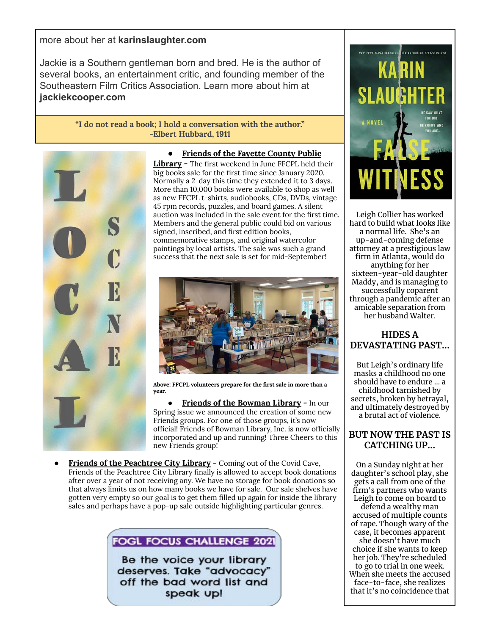#### more about her at **karinslaughter.com**

Jackie is a Southern gentleman born and bred. He is the author of several books, an entertainment critic, and founding member of the Southeastern Film Critics Association. Learn more about him at **jackiekcooper.com**

> **"I do not read a book; I hold a conversation with the author." -Elbert Hubbard, 1911**



#### **● Friends of the Fayette County Public**

**Library -** The first weekend in June FFCPL held their big books sale for the first time since January 2020. Normally a 2-day this time they extended it to 3 days. More than 10,000 books were available to shop as well as new FFCPL t-shirts, audiobooks, CDs, DVDs, vintage 45 rpm records, puzzles, and board games. A silent auction was included in the sale event for the first time. Members and the general public could bid on various signed, inscribed, and first edition books, commemorative stamps, and original watercolor paintings by local artists. The sale was such a grand success that the next sale is set for mid-September!



**Above: FFCPL volunteers prepare for the first sale in more than a year.**

**Friends of the Bowman Library -** In our Spring issue we announced the creation of some new Friends groups. For one of those groups, it's now official! Friends of Bowman Library, Inc. is now officially incorporated and up and running! Three Cheers to this new Friends group!

**Friends of the Peachtree City Library -** Coming out of the Covid Cave, Friends of the Peachtree City Library finally is allowed to accept book donations after over a year of not receiving any. We have no storage for book donations so that always limits us on how many books we have for sale. Our sale shelves have gotten very empty so our goal is to get them filled up again for inside the library sales and perhaps have a pop-up sale outside highlighting particular genres.

FOGL FOCUS CHALLENGE 2021

Be the voice your library deserves. Take "advocacy" off the bad word list and speak up!



Leigh Collier has worked hard to build what looks like a normal life. She's an up-and-coming defense attorney at a prestigious law firm in Atlanta, would do anything for her sixteen-year-old daughter Maddy, and is managing to successfully coparent through a pandemic after an amicable separation from her husband Walter.

#### **HIDES A DEVASTATING PAST...**

But Leigh's ordinary life masks a childhood no one should have to endure … a childhood tarnished by secrets, broken by betrayal, and ultimately destroyed by a brutal act of violence.

#### **BUT NOW THE PAST IS CATCHING UP…**

On a Sunday night at her daughter's school play, she gets a call from one of the firm's partners who wants Leigh to come on board to defend a wealthy man accused of multiple counts of rape. Though wary of the case, it becomes apparent she doesn't have much choice if she wants to keep her job. They're scheduled to go to trial in one week. When she meets the accused face-to-face, she realizes that it's no coincidence that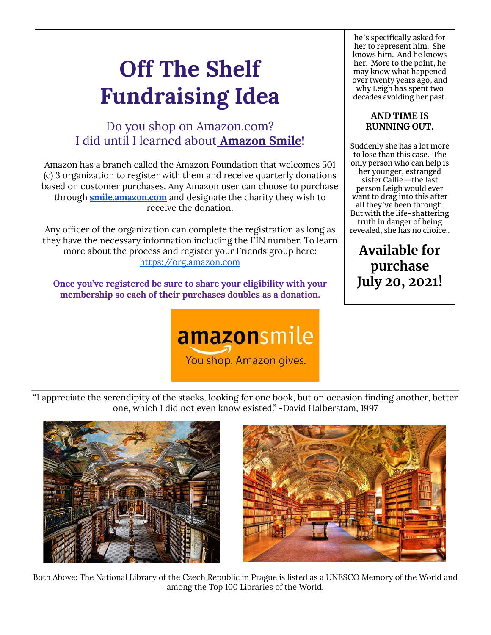### **Off The Shelf Fundraising Idea**

#### Do you shop on Amazon.com? I did until I learned about **Amazon Smile!**

Amazon has a branch called the Amazon Foundation that welcomes 501 (c) 3 organization to register with them and receive quarterly donations based on customer purchases. Any Amazon user can choose to purchase through **[smile.amazon.com](https://smile.amazon.com/)** and designate the charity they wish to receive the donation.

Any officer of the organization can complete the registration as long as they have the necessary information including the EIN number. To learn more about the process and register your Friends group here: [https://org.amazon.com](https://org.amazon.com/ref=smi_se_spd_org_org)

**Once you've registered be sure to share your eligibility with your membership so each of their purchases doubles as a donation.**

> amazonsmile You shop. Amazon gives.

he's specifically asked for her to represent him. She knows him. And he knows her. More to the point, he may know what happened over twenty years ago, and why Leigh has spent two decades avoiding her past.

#### **AND TIME IS RUNNING OUT.**

Suddenly she has a lot more to lose than this case. The only person who can help is her younger, estranged sister Callie—the last person Leigh would ever want to drag into this after all they've been through. But with the life-shattering truth in danger of being revealed, she has no choice..

**Available for purchase July 20, 2021!**

"I appreciate the serendipity of the stacks, looking for one book, but on occasion finding another, better one, which I did not even know existed." -David Halberstam, 1997



Both Above: The National Library of the Czech Republic in Prague is listed as a UNESCO Memory of the World and among the Top 100 Libraries of the World.